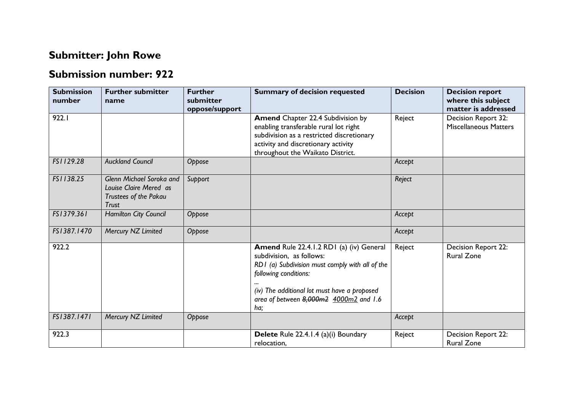## **Submitter: John Rowe**

## **Submission number: 922**

| <b>Submission</b><br>number | <b>Further submitter</b><br>name                                                            | <b>Further</b><br>submitter<br>oppose/support | <b>Summary of decision requested</b>                                                                                                                                                                                                              | <b>Decision</b> | <b>Decision report</b><br>where this subject<br>matter is addressed |
|-----------------------------|---------------------------------------------------------------------------------------------|-----------------------------------------------|---------------------------------------------------------------------------------------------------------------------------------------------------------------------------------------------------------------------------------------------------|-----------------|---------------------------------------------------------------------|
| 922.I                       |                                                                                             |                                               | <b>Amend Chapter 22.4 Subdivision by</b><br>enabling transferable rural lot right<br>subdivision as a restricted discretionary<br>activity and discretionary activity<br>throughout the Waikato District.                                         | Reject          | Decision Report 32:<br><b>Miscellaneous Matters</b>                 |
| FS1129.28                   | <b>Auckland Council</b>                                                                     | Oppose                                        |                                                                                                                                                                                                                                                   | Accept          |                                                                     |
| FS1138.25                   | Glenn Michael Soroka and<br>Louise Claire Mered as<br>Trustees of the Pakau<br><b>Trust</b> | Support                                       |                                                                                                                                                                                                                                                   | Reject          |                                                                     |
| FS1379.361                  | Hamilton City Council                                                                       | Oppose                                        |                                                                                                                                                                                                                                                   | Accept          |                                                                     |
| FS1387.1470                 | Mercury NZ Limited                                                                          | Oppose                                        |                                                                                                                                                                                                                                                   | Accept          |                                                                     |
| 922.2                       |                                                                                             |                                               | Amend Rule 22.4.1.2 RD1 (a) (iv) General<br>subdivision, as follows:<br>RD1 (a) Subdivision must comply with all of the<br>following conditions:<br>(iv) The additional lot must have a proposed<br>area of between 8,000m2 4000m2 and 1.6<br>ha; | Reject          | Decision Report 22:<br><b>Rural Zone</b>                            |
| FS1387.1471                 | Mercury NZ Limited                                                                          | Oppose                                        |                                                                                                                                                                                                                                                   | Accept          |                                                                     |
| 922.3                       |                                                                                             |                                               | Delete Rule 22.4.1.4 (a)(i) Boundary<br>relocation,                                                                                                                                                                                               | Reject          | Decision Report 22:<br><b>Rural Zone</b>                            |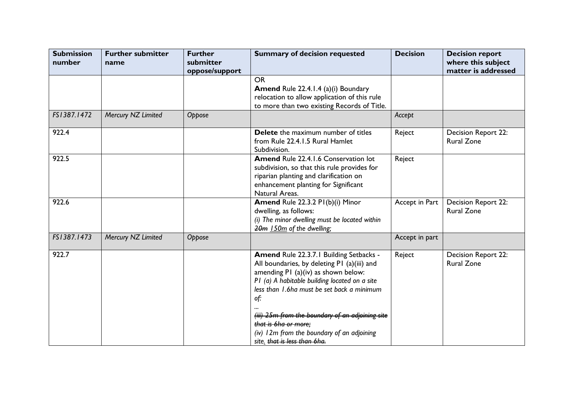| <b>Submission</b><br>number | <b>Further submitter</b><br>name | <b>Further</b><br>submitter<br>oppose/support | <b>Summary of decision requested</b>                                                                                                                                                                                                | <b>Decision</b> | <b>Decision report</b><br>where this subject<br>matter is addressed |
|-----------------------------|----------------------------------|-----------------------------------------------|-------------------------------------------------------------------------------------------------------------------------------------------------------------------------------------------------------------------------------------|-----------------|---------------------------------------------------------------------|
|                             |                                  |                                               | <b>OR</b><br><b>Amend Rule 22.4.1.4 (a)(i) Boundary</b><br>relocation to allow application of this rule<br>to more than two existing Records of Title.                                                                              |                 |                                                                     |
| FS1387.1472                 | Mercury NZ Limited               | Oppose                                        |                                                                                                                                                                                                                                     | Accept          |                                                                     |
| 922.4                       |                                  |                                               | Delete the maximum number of titles<br>from Rule 22.4.1.5 Rural Hamlet<br>Subdivision.                                                                                                                                              | Reject          | Decision Report 22:<br><b>Rural Zone</b>                            |
| 922.5                       |                                  |                                               | <b>Amend Rule 22.4.1.6 Conservation lot</b><br>subdivision, so that this rule provides for<br>riparian planting and clarification on<br>enhancement planting for Significant<br>Natural Areas.                                      | Reject          |                                                                     |
| 922.6                       |                                  |                                               | Amend Rule 22.3.2 PI(b)(i) Minor<br>dwelling, as follows:<br>(i) The minor dwelling must be located within<br>20m 150m of the dwelling;                                                                                             | Accept in Part  | Decision Report 22:<br><b>Rural Zone</b>                            |
| FS1387.1473                 | Mercury NZ Limited               | Oppose                                        |                                                                                                                                                                                                                                     | Accept in part  |                                                                     |
| 922.7                       |                                  |                                               | Amend Rule 22.3.7.1 Building Setbacks -<br>All boundaries, by deleting P1 (a)(iii) and<br>amending P1 (a)(iv) as shown below:<br>P1 (a) A habitable building located on a site<br>less than 1.6ha must be set back a minimum<br>of: | Reject          | Decision Report 22:<br><b>Rural Zone</b>                            |
|                             |                                  |                                               | (iii) 25m from the boundary of an adjoining site<br>that is 6ha or more:<br>(iv) 12m from the boundary of an adjoining<br>site, that is less than 6ha.                                                                              |                 |                                                                     |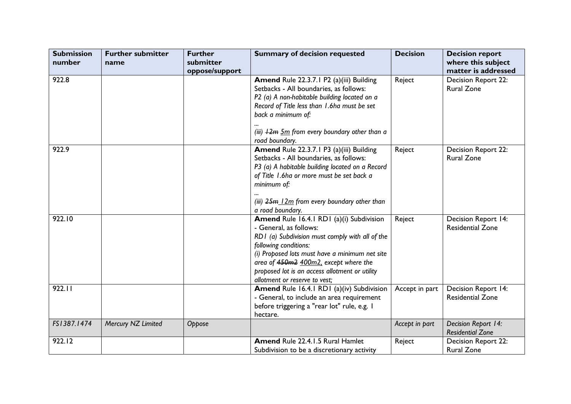| <b>Submission</b><br>number | <b>Further submitter</b><br>name | <b>Further</b><br>submitter | <b>Summary of decision requested</b>                                                                                                                                                                                                                                                                                         | <b>Decision</b> | <b>Decision report</b><br>where this subject   |
|-----------------------------|----------------------------------|-----------------------------|------------------------------------------------------------------------------------------------------------------------------------------------------------------------------------------------------------------------------------------------------------------------------------------------------------------------------|-----------------|------------------------------------------------|
|                             |                                  | oppose/support              |                                                                                                                                                                                                                                                                                                                              |                 | matter is addressed                            |
| 922.8                       |                                  |                             | Amend Rule 22.3.7.1 P2 (a)(iii) Building<br>Setbacks - All boundaries, as follows:<br>P2 (a) A non-habitable building located on a<br>Record of Title less than 1.6ha must be set<br>back a minimum of:<br>(iii) $\frac{12m}{12m}$ from every boundary other than a                                                          | Reject          | Decision Report 22:<br><b>Rural Zone</b>       |
| 922.9                       |                                  |                             | road boundary.<br>Amend Rule 22.3.7.1 P3 (a)(iii) Building<br>Setbacks - All boundaries, as follows:<br>P3 (a) A habitable building located on a Record<br>of Title 1.6ha or more must be set back a<br>minimum of:<br>(iii) 25m 12m from every boundary other than<br>a road boundary.                                      | Reject          | Decision Report 22:<br><b>Rural Zone</b>       |
| 922.10                      |                                  |                             | Amend Rule 16.4.1 RD1 (a)(i) Subdivision<br>- General, as follows:<br>RD1 (a) Subdivision must comply with all of the<br>following conditions:<br>(i) Proposed lots must have a minimum net site<br>area of 450m2 400m2, except where the<br>proposed lot is an access allotment or utility<br>allotment or reserve to vest; | Reject          | Decision Report 14:<br><b>Residential Zone</b> |
| 922.11                      |                                  |                             | Amend Rule 16.4.1 RD1 (a)(iv) Subdivision<br>- General, to include an area requirement<br>before triggering a "rear lot" rule, e.g. I<br>hectare.                                                                                                                                                                            | Accept in part  | Decision Report 14:<br><b>Residential Zone</b> |
| FS1387.1474                 | Mercury NZ Limited               | Oppose                      |                                                                                                                                                                                                                                                                                                                              | Accept in part  | Decision Report 14:<br><b>Residential Zone</b> |
| 922.12                      |                                  |                             | <b>Amend Rule 22.4.1.5 Rural Hamlet</b><br>Subdivision to be a discretionary activity                                                                                                                                                                                                                                        | Reject          | Decision Report 22:<br><b>Rural Zone</b>       |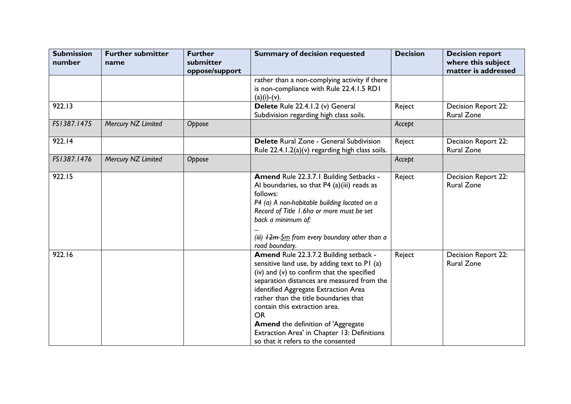| <b>Submission</b><br>number | <b>Further submitter</b><br>name | <b>Further</b><br>submitter<br>oppose/support | <b>Summary of decision requested</b>                                                                                                                                                                                                                                                                                                                                                                                                                | <b>Decision</b> | <b>Decision report</b><br>where this subject<br>matter is addressed |
|-----------------------------|----------------------------------|-----------------------------------------------|-----------------------------------------------------------------------------------------------------------------------------------------------------------------------------------------------------------------------------------------------------------------------------------------------------------------------------------------------------------------------------------------------------------------------------------------------------|-----------------|---------------------------------------------------------------------|
|                             |                                  |                                               | rather than a non-complying activity if there<br>is non-compliance with Rule 22.4.1.5 RD1<br>$(a)(i)-(v).$                                                                                                                                                                                                                                                                                                                                          |                 |                                                                     |
| 922.13                      |                                  |                                               | Delete Rule 22.4.1.2 (v) General<br>Subdivision regarding high class soils.                                                                                                                                                                                                                                                                                                                                                                         | Reject          | Decision Report 22:<br><b>Rural Zone</b>                            |
| FS1387.1475                 | Mercury NZ Limited               | Oppose                                        |                                                                                                                                                                                                                                                                                                                                                                                                                                                     | Accept          |                                                                     |
| 922.14                      |                                  |                                               | <b>Delete</b> Rural Zone - General Subdivision<br>Rule 22.4.1.2(a)(v) regarding high class soils.                                                                                                                                                                                                                                                                                                                                                   | Reject          | Decision Report 22:<br><b>Rural Zone</b>                            |
| FS1387.1476                 | Mercury NZ Limited               | Oppose                                        |                                                                                                                                                                                                                                                                                                                                                                                                                                                     | Accept          |                                                                     |
| 922.15                      |                                  |                                               | Amend Rule 22.3.7.1 Building Setbacks -<br>Al boundaries, so that P4 (a)(iii) reads as<br>follows:<br>P4 (a) A non-habitable building located on a<br>Record of Title 1.6ha or more must be set<br>back a minimum of:<br>(iii) $12m-5m$ from every boundary other than a<br>road boundary.                                                                                                                                                          | Reject          | Decision Report 22:<br><b>Rural Zone</b>                            |
| 922.16                      |                                  |                                               | Amend Rule 22.3.7.2 Building setback -<br>sensitive land use, by adding text to PI (a)<br>(iv) and (v) to confirm that the specified<br>separation distances are measured from the<br>identified Aggregate Extraction Area<br>rather than the title boundaries that<br>contain this extraction area.<br><b>OR</b><br><b>Amend the definition of 'Aggregate</b><br>Extraction Area' in Chapter 13: Definitions<br>so that it refers to the consented | Reject          | Decision Report 22:<br><b>Rural Zone</b>                            |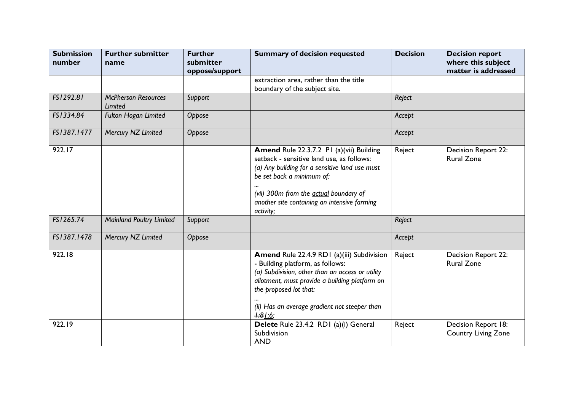| <b>Submission</b><br>number | <b>Further submitter</b><br>name      | <b>Further</b><br>submitter<br>oppose/support | <b>Summary of decision requested</b>                                                                                                                                                                                                                                        | <b>Decision</b> | <b>Decision report</b><br>where this subject<br>matter is addressed |
|-----------------------------|---------------------------------------|-----------------------------------------------|-----------------------------------------------------------------------------------------------------------------------------------------------------------------------------------------------------------------------------------------------------------------------------|-----------------|---------------------------------------------------------------------|
|                             |                                       |                                               | extraction area, rather than the title<br>boundary of the subject site.                                                                                                                                                                                                     |                 |                                                                     |
| FS1292.81                   | <b>McPherson Resources</b><br>Limited | Support                                       |                                                                                                                                                                                                                                                                             | Reject          |                                                                     |
| FS1334.84                   | Fulton Hogan Limited                  | Oppose                                        |                                                                                                                                                                                                                                                                             | Accept          |                                                                     |
| FS1387.1477                 | Mercury NZ Limited                    | Oppose                                        |                                                                                                                                                                                                                                                                             | Accept          |                                                                     |
| 922.17                      |                                       |                                               | Amend Rule 22.3.7.2 PI (a)(vii) Building<br>setback - sensitive land use, as follows:<br>(a) Any building for a sensitive land use must<br>be set back a minimum of:<br>(vii) 300m from the actual boundary of<br>another site containing an intensive farming<br>activity; | Reject          | Decision Report 22:<br><b>Rural Zone</b>                            |
| FS1265.74                   | <b>Mainland Poultry Limited</b>       | Support                                       |                                                                                                                                                                                                                                                                             | Reject          |                                                                     |
| FS1387.1478                 | Mercury NZ Limited                    | Oppose                                        |                                                                                                                                                                                                                                                                             | Accept          |                                                                     |
| 922.18                      |                                       |                                               | Amend Rule 22.4.9 RD1 (a)(iii) Subdivision<br>- Building platform, as follows:<br>(a) Subdivision, other than an access or utility<br>allotment, must provide a building platform on<br>the proposed lot that:<br>(ii) Has an average gradient not steeper than<br>$+81:6;$ | Reject          | Decision Report 22:<br><b>Rural Zone</b>                            |
| 922.19                      |                                       |                                               | Delete Rule 23.4.2 RD1 (a)(i) General<br>Subdivision<br><b>AND</b>                                                                                                                                                                                                          | Reject          | Decision Report 18:<br><b>Country Living Zone</b>                   |